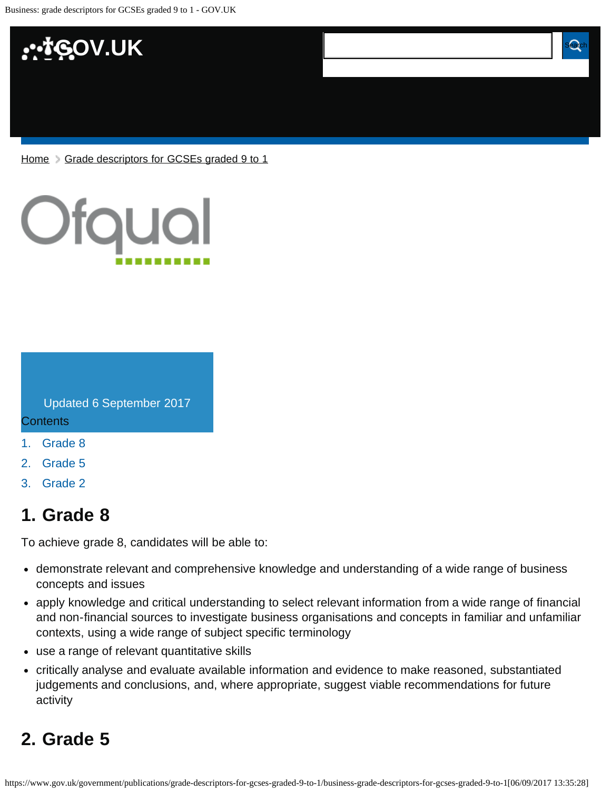

[Home](https://www.gov.uk/)  $\geq$  [Grade descriptors for GCSEs graded 9 to 1](https://www.gov.uk/government/publications/grade-descriptors-for-gcses-graded-9-to-1)



Updated 6 September 2017

#### **Contents**

- [1.](#page-0-0) [Grade 8](#page-0-0)
- [2.](#page-0-1) [Grade 5](#page-0-1)
- [3.](#page-1-0) [Grade 2](#page-1-0)

## <span id="page-0-0"></span>**1. Grade 8**

To achieve grade 8, candidates will be able to:

demonstrate relevant and comprehensive knowledge and understanding of a wide range of business concepts and issues

**Business: grade descriptors for GCSEs graded 9**

- apply knowledge and critical understanding to select relevant information from a wide range of financial and non-financial sources to investigate business organisations and concepts in familiar and unfamiliar contexts, using a wide range of subject specific terminology
- use a range of relevant quantitative skills
- critically analyse and evaluate available information and evidence to make reasoned, substantiated judgements and conclusions, and, where appropriate, suggest viable recommendations for future activity

## <span id="page-0-1"></span>**2. Grade 5**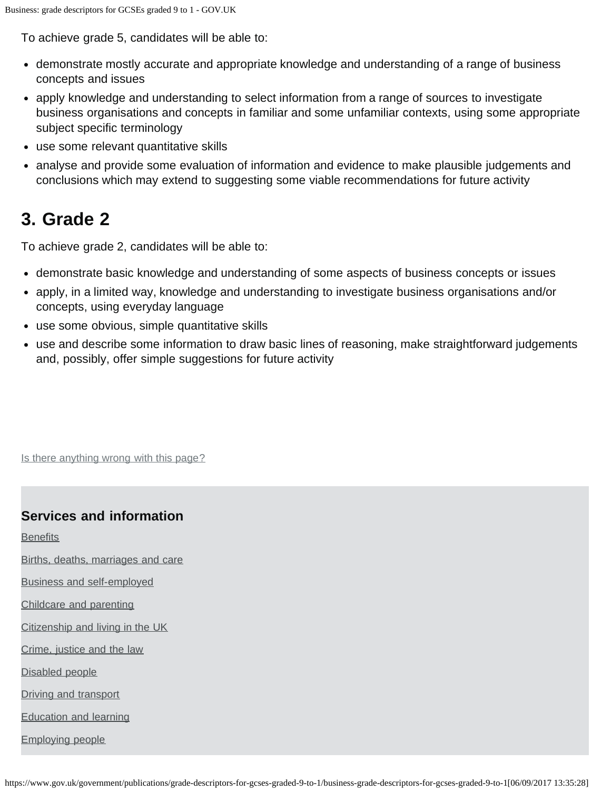To achieve grade 5, candidates will be able to:

- demonstrate mostly accurate and appropriate knowledge and understanding of a range of business concepts and issues
- apply knowledge and understanding to select information from a range of sources to investigate business organisations and concepts in familiar and some unfamiliar contexts, using some appropriate subject specific terminology
- use some relevant quantitative skills
- analyse and provide some evaluation of information and evidence to make plausible judgements and conclusions which may extend to suggesting some viable recommendations for future activity

# <span id="page-1-0"></span>**3. Grade 2**

To achieve grade 2, candidates will be able to:

- demonstrate basic knowledge and understanding of some aspects of business concepts or issues
- apply, in a limited way, knowledge and understanding to investigate business organisations and/or concepts, using everyday language
- use some obvious, simple quantitative skills
- use and describe some information to draw basic lines of reasoning, make straightforward judgements and, possibly, offer simple suggestions for future activity

Is there anything wrong with this page?

## **Services and information**

**[Benefits](https://www.gov.uk/browse/benefits)** 

[Births, deaths, marriages and care](https://www.gov.uk/browse/births-deaths-marriages)

[Business and self-employed](https://www.gov.uk/browse/business)

[Childcare and parenting](https://www.gov.uk/browse/childcare-parenting)

[Citizenship and living in the UK](https://www.gov.uk/browse/citizenship)

[Crime, justice and the law](https://www.gov.uk/browse/justice)

[Disabled people](https://www.gov.uk/browse/disabilities)

[Driving and transport](https://www.gov.uk/browse/driving)

[Education and learning](https://www.gov.uk/browse/education)

[Employing people](https://www.gov.uk/browse/employing-people)